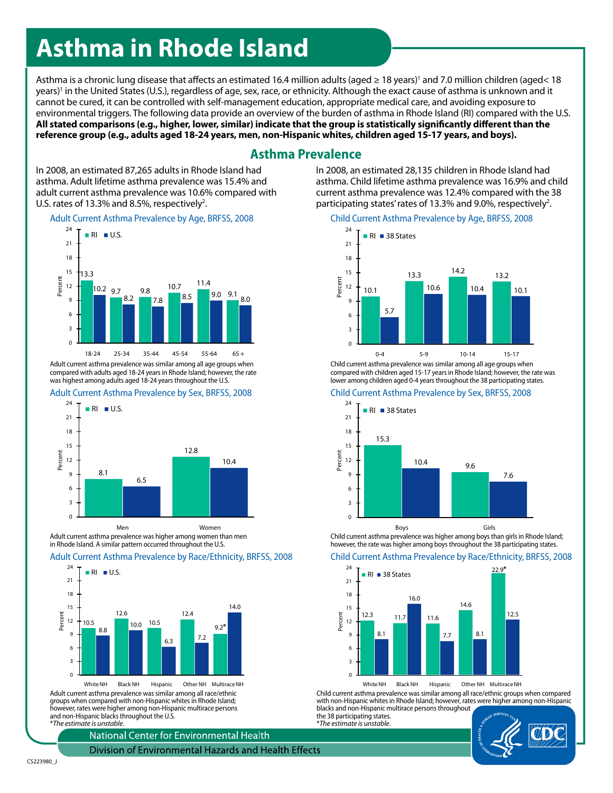# **Asthma in Rhode Island**

Asthma is a chronic lung disease that affects an estimated 16.4 million adults (aged ≥ 18 years)' and 7.0 million children (aged< 18 years)' in the United States (U.S.), regardless of age, sex, race, or ethnicity. Although the exact cause of asthma is unknown and it cannot be cured, it can be controlled with self-management education, appropriate medical care, and avoiding exposure to environmental triggers. The following data provide an overview of the burden of asthma in Rhode Island (RI) compared with the U.S. **All stated comparisons (e.g., higher, lower, similar) indicate that the group is statistically significantly different than the reference group (e.g., adults aged 18-24 years, men, non-Hispanic whites, children aged 15-17 years, and boys).**

## **Asthma Prevalence**

In 2008, an estimated 87,265 adults in Rhode Island had asthma. Adult lifetime asthma prevalence was 15.4% and adult current asthma prevalence was 10.6% compared with U.S. rates of  $13.3\%$  and 8.5%, respectively<sup>2</sup>.

#### Adult Current Asthma Prevalence by Age, BRFSS, 2008



Adult current asthma prevalence was similar among all age groups when compared with adults aged 18-24 years in Rhode Island; however, the rate was highest among adults aged 18-24 years throughout the U.S.

#### Adult Current Asthma Prevalence by Sex, BRFSS, 2008



Adult current asthma prevalence was higher among women than men in Rhode Island. A similar pattern occurred throughout the U.S.

#### Adult Current Asthma Prevalence by Race/Ethnicity, BRFSS, 2008



White NH Black NH Hispanic Other NH Multirace NH Adult current asthma prevalence was similar among all race/ethnic groups when compared with non-Hispanic whites in Rhode Island; however, rates were higher among non-Hispanic multirace persons and non-Hispanic blacks throughout the U.S. \**The estimate is unstable*.

National Center for Environmental Health

Division of Environmental Hazards and Health Effects

### participating states' rates of 13.3% and 9.0%, respectively<sup>2</sup>. Child Current Asthma Prevalence by Age, BRFSS, 2008

In 2008, an estimated 28,135 children in Rhode Island had asthma. Child lifetime asthma prevalence was 16.9% and child current asthma prevalence was 12.4% compared with the 38



Child current asthma prevalence was similar among all age groups when compared with children aged 15-17 years in Rhode Island; however, the rate was lower among children aged 0-4 years throughout the 38 participating states.

#### Child Current Asthma Prevalence by Sex, BRFSS, 2008



Child current asthma prevalence was higher among boys than girls in Rhode Island; however, the rate was higher among boys throughout the 38 participating states.



Child current asthma prevalence was similar among all race/ethnic groups when compared with non-Hispanic whites in Rhode Island; however, rates were higher among non-Hispanic blacks and non-Hispanic multirace persons throughout

the 38 participating states. \**The estimate is unstable*.